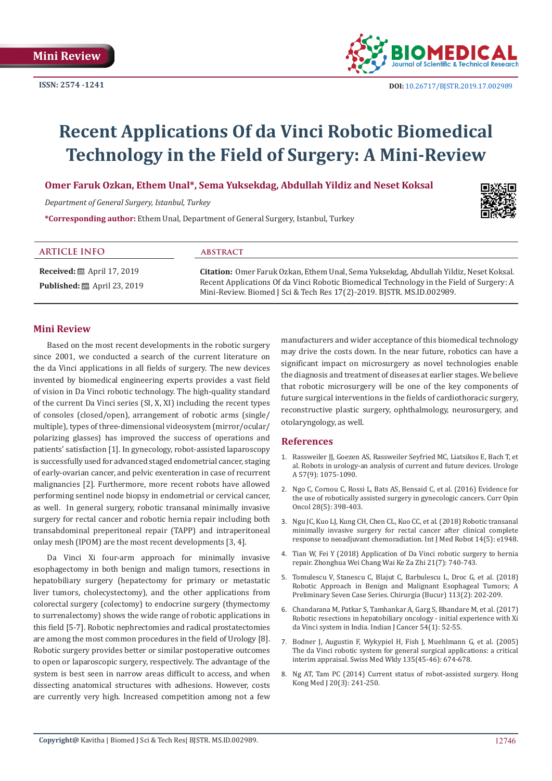**ISSN: 2574 -1241**



# **Recent Applications Of da Vinci Robotic Biomedical Technology in the Field of Surgery: A Mini-Review**

**Omer Faruk Ozkan, Ethem Unal\*, Sema Yuksekdag, Abdullah Yildiz and Neset Koksal**

*Department of General Surgery, Istanbul, Turkey*

**\*Corresponding author:** Ethem Unal, Department of General Surgery, Istanbul, Turkey



#### **ARTICLE INFO abstract**

**Published:** ■ April 23, 2019

**Received:** ■ April 17, 2019

**Citation:** Omer Faruk Ozkan, Ethem Unal, Sema Yuksekdag, Abdullah Yildiz, Neset Koksal. Recent Applications Of da Vinci Robotic Biomedical Technology in the Field of Surgery: A Mini-Review. Biomed J Sci & Tech Res 17(2)-2019. BJSTR. MS.ID.002989.

## **Mini Review**

Based on the most recent developments in the robotic surgery since 2001, we conducted a search of the current literature on the da Vinci applications in all fields of surgery. The new devices invented by biomedical engineering experts provides a vast field of vision in Da Vinci robotic technology. The high-quality standard of the current Da Vinci series (SI, X, XI) including the recent types of consoles (closed/open), arrangement of robotic arms (single/ multiple), types of three-dimensional videosystem (mirror/ocular/ polarizing glasses) has improved the success of operations and patients' satisfaction [1]. In gynecology, robot-assisted laparoscopy is successfully used for advanced staged endometrial cancer, staging of early-ovarian cancer, and pelvic exenteration in case of recurrent malignancies [2]. Furthermore, more recent robots have allowed performing sentinel node biopsy in endometrial or cervical cancer, as well. In general surgery, robotic transanal minimally invasive surgery for rectal cancer and robotic hernia repair including both transabdominal preperitoneal repair (TAPP) and intraperitoneal onlay mesh (IPOM) are the most recent developments [3, 4].

Da Vinci Xi four-arm approach for minimally invasive esophagectomy in both benign and malign tumors, resections in hepatobiliary surgery (hepatectomy for primary or metastatic liver tumors, cholecystectomy), and the other applications from colorectal surgery (colectomy) to endocrine surgery (thymectomy to surrenalectomy) shows the wide range of robotic applications in this field [5-7]. Robotic nephrectomies and radical prostatectomies are among the most common procedures in the field of Urology [8]. Robotic surgery provides better or similar postoperative outcomes to open or laparoscopic surgery, respectively. The advantage of the system is best seen in narrow areas difficult to access, and when dissecting anatomical structures with adhesions. However, costs are currently very high. Increased competition among not a few

manufacturers and wider acceptance of this biomedical technology may drive the costs down. In the near future, robotics can have a significant impact on microsurgery as novel technologies enable the diagnosis and treatment of diseases at earlier stages. We believe that robotic microsurgery will be one of the key components of future surgical interventions in the fields of cardiothoracic surgery, reconstructive plastic surgery, ophthalmology, neurosurgery, and otolaryngology, as well.

### **References**

- 1. [Rassweiler JJ, Goezen AS, Rassweiler Seyfried MC, Liatsikos E, Bach T, et](https://www.ncbi.nlm.nih.gov/pubmed/30030596) [al. Robots in urology-an analysis of current and future devices. Urologe](https://www.ncbi.nlm.nih.gov/pubmed/30030596) [A 57\(9\): 1075-1090.](https://www.ncbi.nlm.nih.gov/pubmed/30030596)
- 2. [Ngo C, Cornou C, Rossi L, Bats AS, Bensaid C, et al. \(2016\) Evidence for](https://www.ncbi.nlm.nih.gov/pubmed/27434623) [the use of robotically assisted surgery in gynecologic cancers. Curr Opin](https://www.ncbi.nlm.nih.gov/pubmed/27434623) [Oncol 28\(5\): 398-403.](https://www.ncbi.nlm.nih.gov/pubmed/27434623)
- 3. [Ngu JC, Kuo LJ, Kung CH, Chen CL, Kuo CC, et al. \(2018\) Robotic transanal](https://www.ncbi.nlm.nih.gov/pubmed/30073747) [minimally invasive surgery for rectal cancer after clinical complete](https://www.ncbi.nlm.nih.gov/pubmed/30073747) [response to neoadjuvant chemoradiation. Int J Med Robot 14\(5\): e1948.](https://www.ncbi.nlm.nih.gov/pubmed/30073747)
- 4. [Tian W, Fei Y \(2018\) Application of Da Vinci robotic surgery to hernia](https://www.ncbi.nlm.nih.gov/pubmed/30051439) [repair. Zhonghua Wei Chang Wai Ke Za Zhi 21\(7\): 740-743.](https://www.ncbi.nlm.nih.gov/pubmed/30051439)
- 5. [Tomulescu V, Stanescu C, Blajut C, Barbulescu L, Droc G, et al. \(2018\)](https://www.ncbi.nlm.nih.gov/pubmed/29733012) [Robotic Approach in Benign and Malignant Esophageal Tumors; A](https://www.ncbi.nlm.nih.gov/pubmed/29733012) [Preliminary Seven Case Series. Chirurgia \(Bucur\) 113\(2\): 202-209.](https://www.ncbi.nlm.nih.gov/pubmed/29733012)
- 6. [Chandarana M, Patkar S, Tamhankar A, Garg S, Bhandare M, et al. \(2017\)](https://www.ncbi.nlm.nih.gov/pubmed/29199663) [Robotic resections in hepatobiliary oncology - initial experience with Xi](https://www.ncbi.nlm.nih.gov/pubmed/29199663) [da Vinci system in India. Indian J Cancer 54\(1\): 52-55.](https://www.ncbi.nlm.nih.gov/pubmed/29199663)
- 7. [Bodner J, Augustin F, Wykypiel H, Fish J, Muehlmann G, et al. \(2005\)](https://www.ncbi.nlm.nih.gov/pubmed/16453207) [The da Vinci robotic system for general surgical applications: a critical](https://www.ncbi.nlm.nih.gov/pubmed/16453207) [interim appraisal. Swiss Med Wkly 135\(45-46\): 674-678.](https://www.ncbi.nlm.nih.gov/pubmed/16453207)
- 8. [Ng AT, Tam PC \(2014\) Current status of robot-assisted surgery. Hong](https://www.ncbi.nlm.nih.gov/pubmed/24854139) [Kong Med J 20\(3\): 241-250.](https://www.ncbi.nlm.nih.gov/pubmed/24854139)